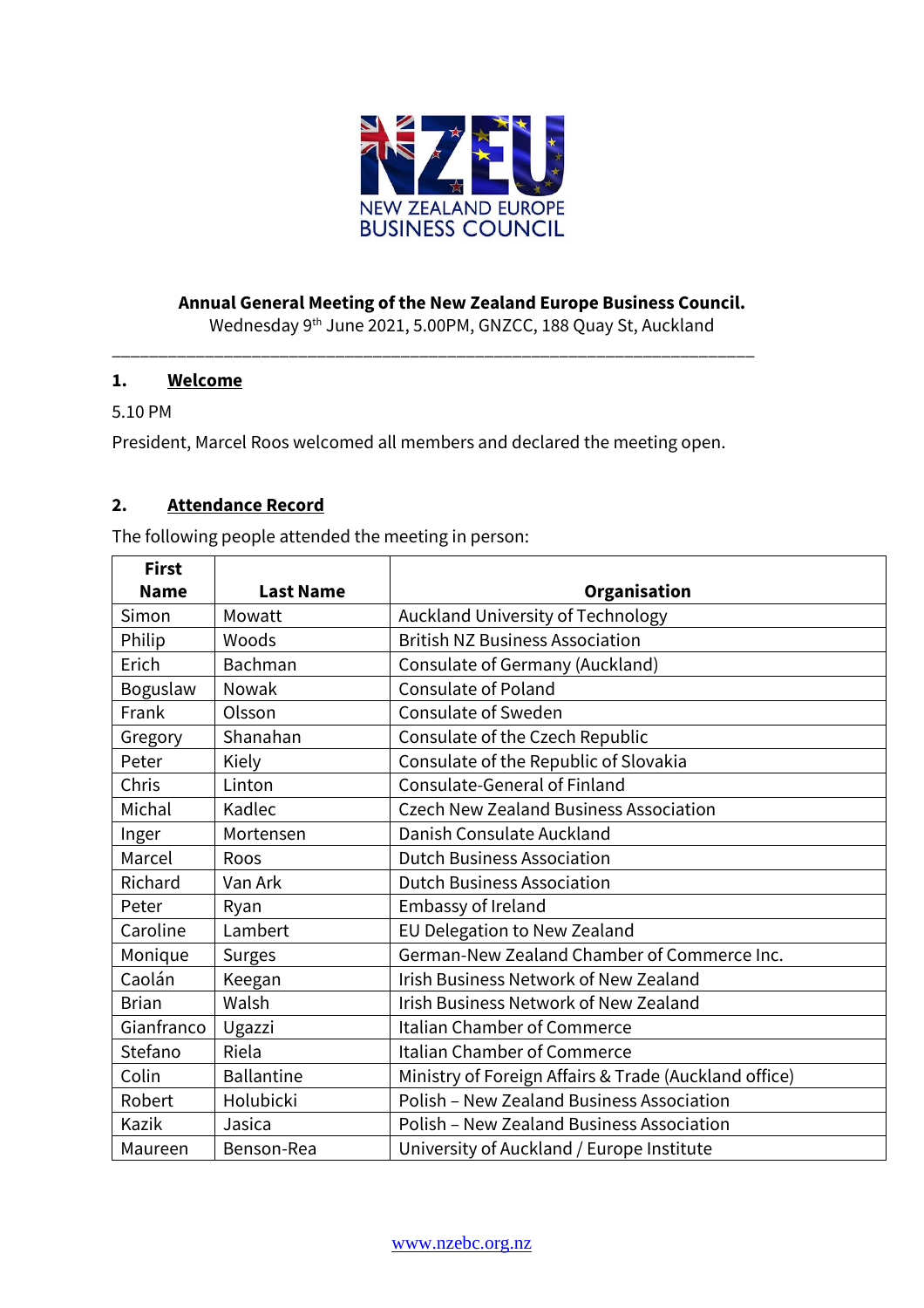

# **Annual General Meeting of the New Zealand Europe Business Council.**

Wednesday 9 th June 2021, 5.00PM, GNZCC, 188 Quay St, Auckland

### **1. Welcome**

### 5.10 PM

President, Marcel Roos welcomed all members and declared the meeting open.

\_\_\_\_\_\_\_\_\_\_\_\_\_\_\_\_\_\_\_\_\_\_\_\_\_\_\_\_\_\_\_\_\_\_\_\_\_\_\_\_\_\_\_\_\_\_\_\_\_\_\_\_\_\_\_\_\_\_\_\_\_\_\_\_\_\_\_\_\_

## **2. Attendance Record**

The following people attended the meeting in person:

| <b>First</b> |                   |                                                       |
|--------------|-------------------|-------------------------------------------------------|
| <b>Name</b>  | <b>Last Name</b>  | Organisation                                          |
| Simon        | Mowatt            | Auckland University of Technology                     |
| Philip       | Woods             | <b>British NZ Business Association</b>                |
| Erich        | <b>Bachman</b>    | Consulate of Germany (Auckland)                       |
| Boguslaw     | Nowak             | <b>Consulate of Poland</b>                            |
| Frank        | Olsson            | <b>Consulate of Sweden</b>                            |
| Gregory      | Shanahan          | Consulate of the Czech Republic                       |
| Peter        | Kiely             | Consulate of the Republic of Slovakia                 |
| Chris        | Linton            | <b>Consulate-General of Finland</b>                   |
| Michal       | Kadlec            | <b>Czech New Zealand Business Association</b>         |
| Inger        | Mortensen         | Danish Consulate Auckland                             |
| Marcel       | <b>Roos</b>       | <b>Dutch Business Association</b>                     |
| Richard      | Van Ark           | <b>Dutch Business Association</b>                     |
| Peter        | Ryan              | Embassy of Ireland                                    |
| Caroline     | Lambert           | EU Delegation to New Zealand                          |
| Monique      | <b>Surges</b>     | German-New Zealand Chamber of Commerce Inc.           |
| Caolán       | Keegan            | <b>Irish Business Network of New Zealand</b>          |
| <b>Brian</b> | Walsh             | Irish Business Network of New Zealand                 |
| Gianfranco   | Ugazzi            | <b>Italian Chamber of Commerce</b>                    |
| Stefano      | Riela             | Italian Chamber of Commerce                           |
| Colin        | <b>Ballantine</b> | Ministry of Foreign Affairs & Trade (Auckland office) |
| Robert       | Holubicki         | Polish - New Zealand Business Association             |
| Kazik        | Jasica            | <b>Polish - New Zealand Business Association</b>      |
| Maureen      | Benson-Rea        | University of Auckland / Europe Institute             |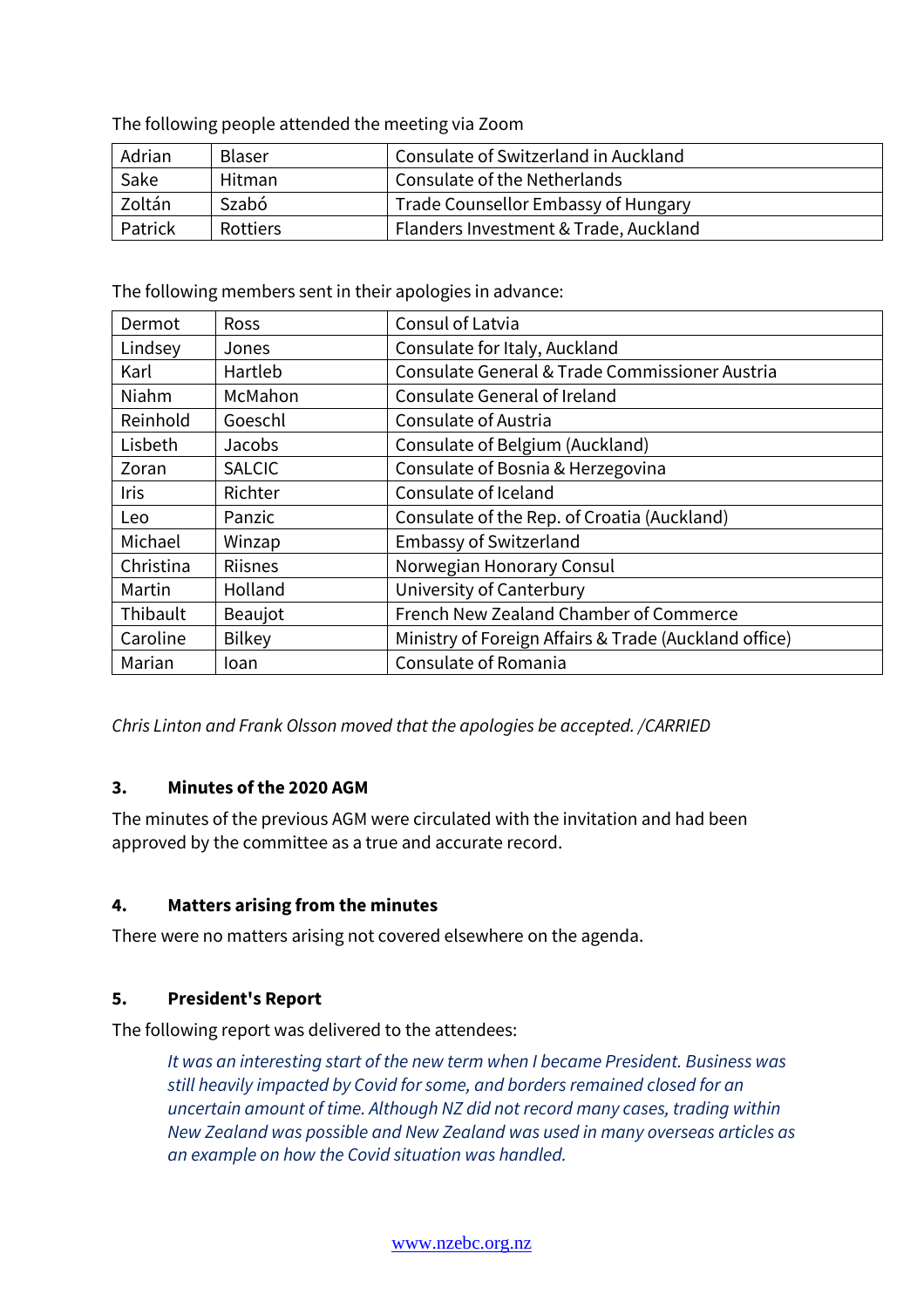The following people attended the meeting via Zoom

| Adrian  | Blaser          | Consulate of Switzerland in Auckland  |
|---------|-----------------|---------------------------------------|
| Sake    | Hitman          | Consulate of the Netherlands          |
| Zoltán  | Szabó           | Trade Counsellor Embassy of Hungary   |
| Patrick | <b>Rottiers</b> | Flanders Investment & Trade, Auckland |

The following members sent in their apologies in advance:

| Dermot      | <b>Ross</b>    | Consul of Latvia                                      |  |
|-------------|----------------|-------------------------------------------------------|--|
| Lindsey     | Jones          | Consulate for Italy, Auckland                         |  |
| Karl        | Hartleb        | Consulate General & Trade Commissioner Austria        |  |
| Niahm       | McMahon        | Consulate General of Ireland                          |  |
| Reinhold    | Goeschl        | Consulate of Austria                                  |  |
| Lisbeth     | Jacobs         | Consulate of Belgium (Auckland)                       |  |
| Zoran       | <b>SALCIC</b>  | Consulate of Bosnia & Herzegovina                     |  |
| <b>Iris</b> | Richter        | Consulate of Iceland                                  |  |
| Leo         | Panzic         | Consulate of the Rep. of Croatia (Auckland)           |  |
| Michael     | Winzap         | <b>Embassy of Switzerland</b>                         |  |
| Christina   | <b>Riisnes</b> | Norwegian Honorary Consul                             |  |
| Martin      | Holland        | University of Canterbury                              |  |
| Thibault    | Beaujot        | French New Zealand Chamber of Commerce                |  |
| Caroline    | <b>Bilkey</b>  | Ministry of Foreign Affairs & Trade (Auckland office) |  |
| Marian      | Ioan           | Consulate of Romania                                  |  |

*Chris Linton and Frank Olsson moved that the apologies be accepted. /CARRIED*

### **3. Minutes of the 2020 AGM**

The minutes of the previous AGM were circulated with the invitation and had been approved by the committee as a true and accurate record.

### **4. Matters arising from the minutes**

There were no matters arising not covered elsewhere on the agenda.

### **5. President's Report**

The following report was delivered to the attendees:

*It was an interesting start of the new term when I became President. Business was still heavily impacted by Covid for some, and borders remained closed for an uncertain amount of time. Although NZ did not record many cases, trading within New Zealand was possible and New Zealand was used in many overseas articles as an example on how the Covid situation was handled.*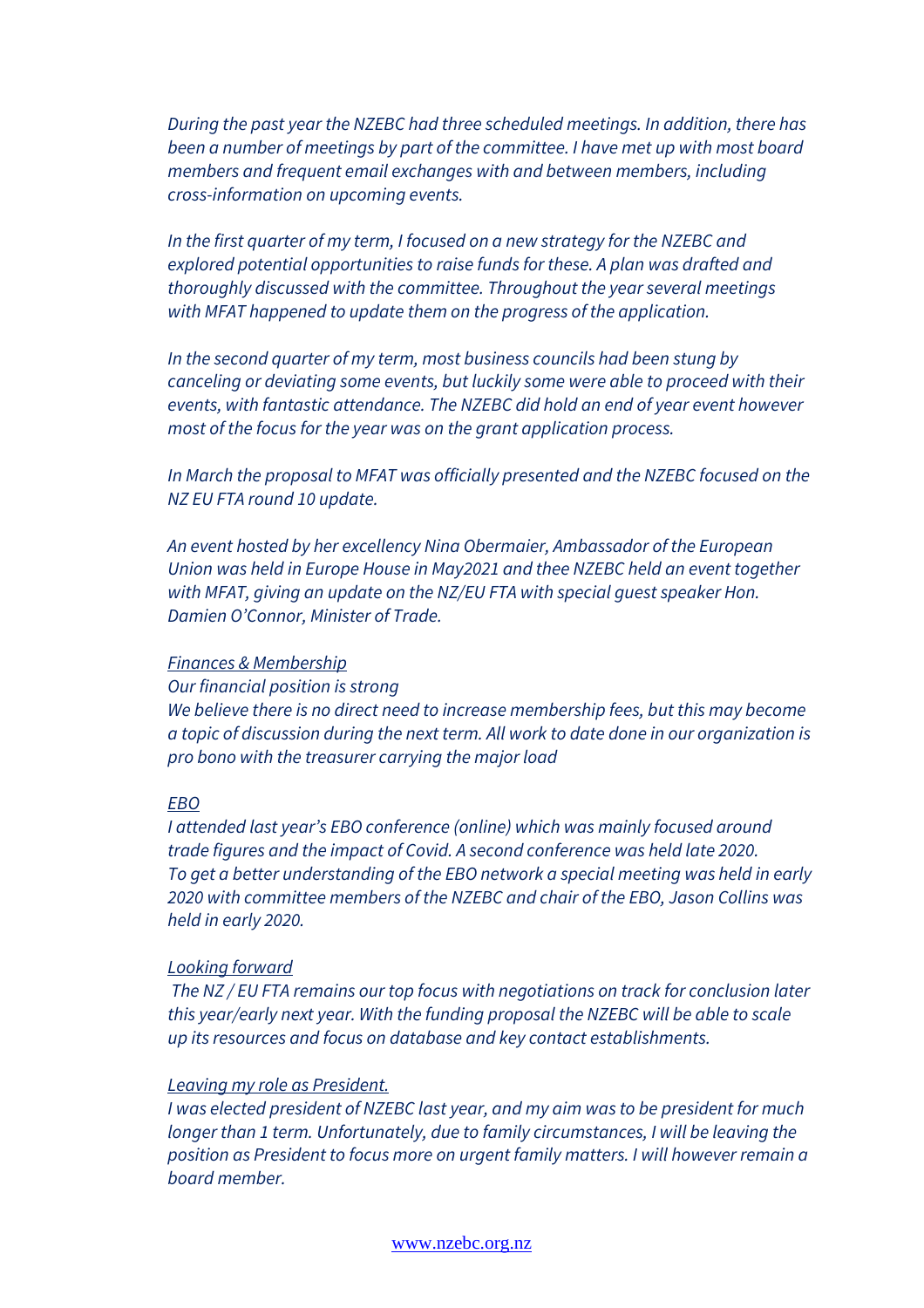*During the past year the NZEBC had three scheduled meetings. In addition, there has been a number of meetings by part of the committee. I have met up with most board members and frequent email exchanges with and between members, including cross-information on upcoming events.*

*In the first quarter of my term, I focused on a new strategy for the NZEBC and explored potential opportunities to raise funds for these. A plan was drafted and thoroughly discussed with the committee. Throughout the year several meetings with MFAT happened to update them on the progress of the application.*

*In the second quarter of my term, most business councils had been stung by canceling or deviating some events, but luckily some were able to proceed with their events, with fantastic attendance. The NZEBC did hold an end of year event however most of the focus for the year was on the grant application process.*

*In March the proposal to MFAT was officially presented and the NZEBC focused on the NZ EU FTA round 10 update.*

*An event hosted by her excellency Nina Obermaier, Ambassador of the European Union was held in Europe House in May2021 and thee NZEBC held an event together with MFAT, giving an update on the NZ/EU FTA with special guest speaker Hon. Damien O'Connor, Minister of Trade.*

### *Finances & Membership*

*Our financial position is strong*

*We believe there is no direct need to increase membership fees, but this may become a topic of discussion during the next term. All work to date done in our organization is pro bono with the treasurer carrying the major load*

#### *EBO*

*I attended last year's EBO conference (online) which was mainly focused around trade figures and the impact of Covid. A second conference was held late 2020. To get a better understanding of the EBO network a special meeting was held in early 2020 with committee members of the NZEBC and chair of the EBO, Jason Collins was held in early 2020.*

### *Looking forward*

*The NZ / EU FTA remains our top focus with negotiations on track for conclusion later this year/early next year. With the funding proposal the NZEBC will be able to scale up its resources and focus on database and key contact establishments.*

### *Leaving my role as President.*

*I was elected president of NZEBC last year, and my aim was to be president for much longer than 1 term. Unfortunately, due to family circumstances, I will be leaving the position as President to focus more on urgent family matters. I will however remain a board member.*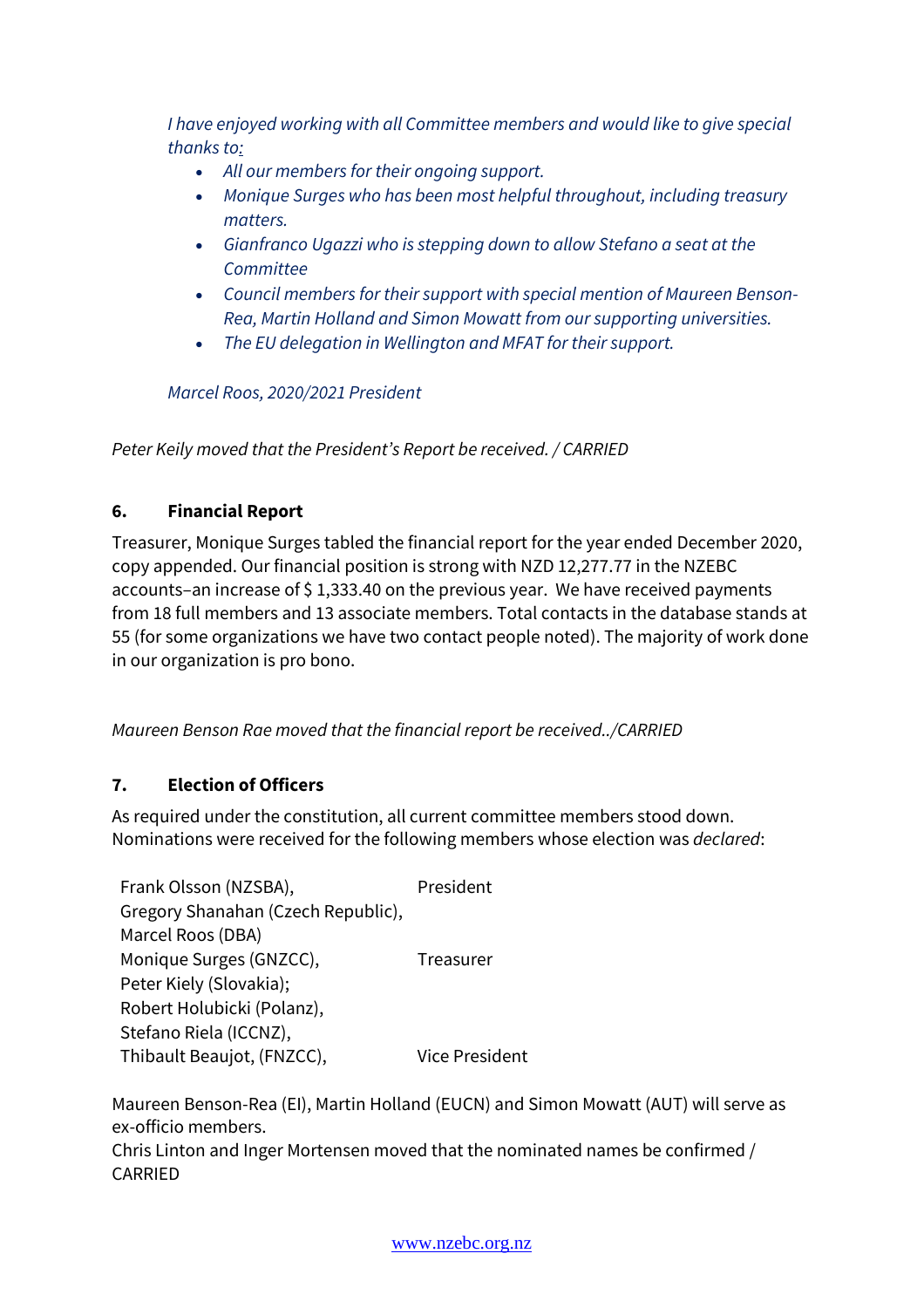*I have enjoyed working with all Committee members and would like to give special thanks to:*

- *All our members for their ongoing support.*
- *Monique Surges who has been most helpful throughout, including treasury matters.*
- *Gianfranco Ugazzi who is stepping down to allow Stefano a seat at the Committee*
- *Council members for their support with special mention of Maureen Benson-Rea, Martin Holland and Simon Mowatt from our supporting universities.*
- *The EU delegation in Wellington and MFAT for their support.*

*Marcel Roos, 2020/2021 President*

*Peter Keily moved that the President's Report be received. / CARRIED*

# **6. Financial Report**

Treasurer, Monique Surges tabled the financial report for the year ended December 2020, copy appended. Our financial position is strong with NZD 12,277.77 in the NZEBC accounts–an increase of \$1,333.40 on the previous year. We have received payments from 18 full members and 13 associate members. Total contacts in the database stands at 55 (for some organizations we have two contact people noted). The majority of work done in our organization is pro bono.

*Maureen Benson Rae moved that the financial report be received../CARRIED*

# **7. Election of Officers**

As required under the constitution, all current committee members stood down. Nominations were received for the following members whose election was *declared*:

| Frank Olsson (NZSBA),              | President      |
|------------------------------------|----------------|
| Gregory Shanahan (Czech Republic), |                |
| Marcel Roos (DBA)                  |                |
| Monique Surges (GNZCC),            | Treasurer      |
| Peter Kiely (Slovakia);            |                |
| Robert Holubicki (Polanz),         |                |
| Stefano Riela (ICCNZ),             |                |
| Thibault Beaujot, (FNZCC),         | Vice President |

Maureen Benson-Rea (EI), Martin Holland (EUCN) and Simon Mowatt (AUT) will serve as ex-officio members. Chris Linton and Inger Mortensen moved that the nominated names be confirmed / CARRIED